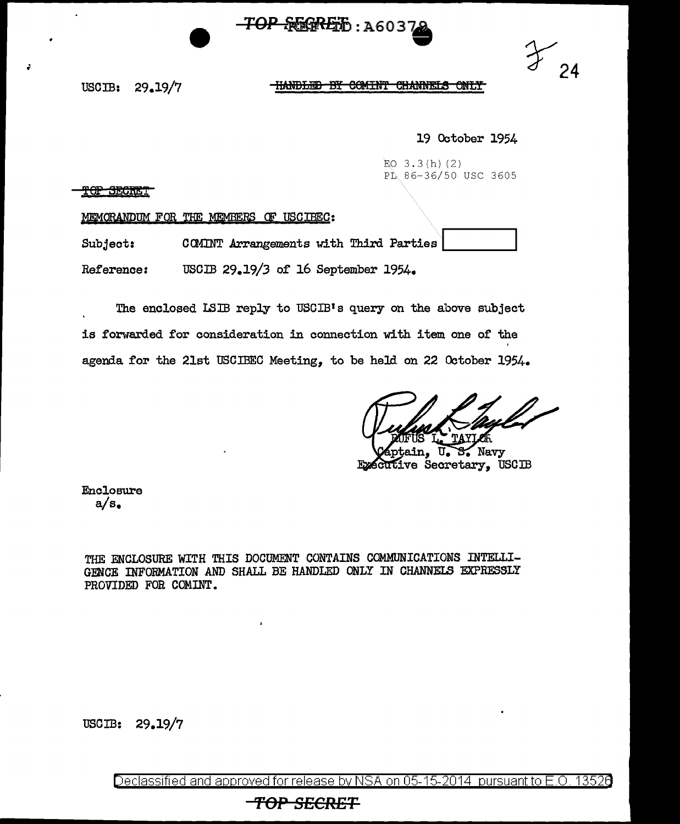



USOIB: 29.19/7

## **HANDLED BY COMINT CHANNELS ONLY**

## 19 October 1954

EO  $3.3(h)$  (2) PL 86-36/50 USC 3605

<u>TOP SECRET</u>

MEMORANDUM FOR THE MEMBERS OF USCIBEC:

Subject: COMINT Arrangements with Third Parties

Reference: USCIB 29.19/3 of 16 September 1954.

The enclosed ISIB reply to USCIB's query on the above subject is forwarded for consideration in connection with item one of the agenda for the 21st USCIBEC Meeting, to be held on 22 October 1954.

Navy Executive Secretary, USCIB

Enclosure a/s.

THE ENCLOSURE WITH THIS DOCUMENT CONTAINS COMMUNICATIONS INTELLI-GENCE INFORMATION AND SHALL BE HANDLED ONLY IN CHANNELS EXPRESSLY PROVIDED FOR COMINT.

USCIB: 29.19/7

Declassified and approved for release by NSA on 05-15-2014 pursuant to E.O. 13526